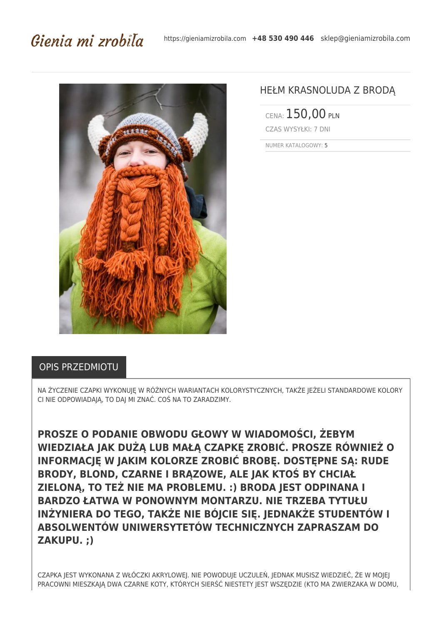## Gienia mi zrobila



## HEŁM KRASNOLUDA Z BRODĄ

CENA: 150,00 PLN CZAS WYSYŁKI: 7 DNI

NUMER KATALOGOWY: 5

## OPIS PRZEDMIOTU

NA ŻYCZENIE CZAPKI WYKONUJĘ W RÓŻNYCH WARIANTACH KOLORYSTYCZNYCH, TAKŻE JEŻELI STANDARDOWE KOLORY CI NIE ODPOWIADAJĄ, TO DAJ MI ZNAĆ. COŚ NA TO ZARADZIMY.

**PROSZE O PODANIE OBWODU GŁOWY W WIADOMOŚCI, ŻEBYM WIEDZIAŁA JAK DUŻĄ LUB MAŁĄ CZAPKĘ ZROBIĆ. PROSZE RÓWNIEŻ O INFORMACJĘ W JAKIM KOLORZE ZROBIĆ BROBĘ. DOSTĘPNE SĄ: RUDE BRODY, BLOND, CZARNE I BRĄZOWE, ALE JAK KTOŚ BY CHCIAŁ ZIELONĄ, TO TEŻ NIE MA PROBLEMU. :) BRODA JEST ODPINANA I BARDZO ŁATWA W PONOWNYM MONTARZU. NIE TRZEBA TYTUŁU INŻYNIERA DO TEGO, TAKŻE NIE BÓJCIE SIĘ. JEDNAKŻE STUDENTÓW I ABSOLWENTÓW UNIWERSYTETÓW TECHNICZNYCH ZAPRASZAM DO ZAKUPU. ;)**

CZAPKA JEST WYKONANA Z WŁÓCZKI AKRYLOWEJ. NIE POWODUJE UCZULEŃ, JEDNAK MUSISZ WIEDZIEĆ, ŻE W MOJEJ PRACOWNI MIESZKAJĄ DWA CZARNE KOTY, KTÓRYCH SIERŚĆ NIESTETY JEST WSZĘDZIE (KTO MA ZWIERZAKA W DOMU,